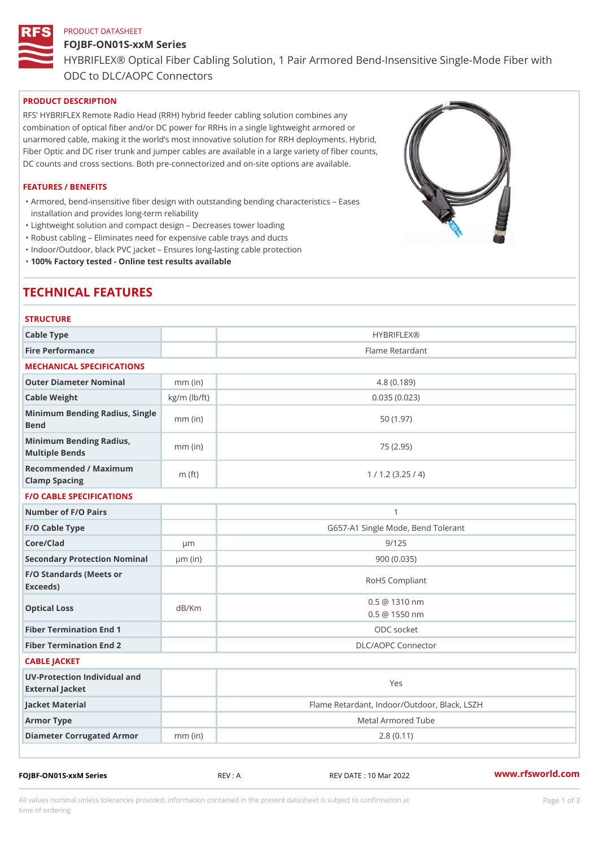#### PRODUCT DATASHEET

# FOJBF-ON01S-xxM Series HYBRIFLEX® Optical Fiber Cabling Solution, 1 Pair Armored Bend-Inse ODC to DLC/AOPC Connectors

# PRODUCT DESCRIPTION

RFS HYBRIFLEX Remote Radio Head (RRH) hybrid feeder cabling solution combines any combination of optical fiber and/or DC power for RRHs in a single lightweight armored or unarmored cable, making it the world s most innovative solution for RRH deployments. Hybrid, Fiber Optic and DC riser trunk and jumper cables are available in a large variety of fiber counts, DC counts and cross sections. Both pre-connectorized and on-site options are available.

#### FEATURES / BENEFITS

Armored, bend-insensitive fiber design with outstanding bending characteristics Eases " installation and provides long-term reliability

"Lightweight solution and compact design Decreases tower loading

"Robust cabling Eliminates need for expensive cable trays and ducts

"Indoor/Outdoor, black PVC jacket Ensures long-lasting cable protection

"100% Factory tested - Online test results available

# TECHNICAL FEATURES

| <b>STRUCTURE</b>                                     |                        |                                              |  |  |  |
|------------------------------------------------------|------------------------|----------------------------------------------|--|--|--|
| Cable Type                                           | HYBRIFLEX <sub>®</sub> |                                              |  |  |  |
| Fire Performance                                     |                        | Flame Retardant                              |  |  |  |
| MECHANICAL SPECIFICATIONS                            |                        |                                              |  |  |  |
| Outer Diameter Nominal                               | $mm$ (in)              | 4.8(0.189)                                   |  |  |  |
| Cable Weight                                         | $kg/m$ ( $lb/ft$ )     | 0.035(0.023)                                 |  |  |  |
| Minimum Bending Radius, Single<br>The mm (in<br>Bend |                        | 50(1.97)                                     |  |  |  |
| Minimum Bending Radius, mm (in)<br>Multiple Bends    |                        | 75 (2.95)                                    |  |  |  |
| Recommended / Maximum<br>Clamp Spacing               | m $(ft)$               | 1 / 1.2 (3.25 / 4)                           |  |  |  |
| <b>F/O CABLE SPECIFICATIONS</b>                      |                        |                                              |  |  |  |
| Number of F/O Pairs                                  |                        | $\mathbf{1}$                                 |  |  |  |
| F/O Cable Type                                       |                        | G657-A1 Single Mode, Bend Tolerant           |  |  |  |
| Core/Clad                                            | $\mu$ m                | 9/125                                        |  |  |  |
| Secondary Protection Nomimal(in)                     |                        | 900 (0.035)                                  |  |  |  |
| F/O Standards (Meets or<br>Exceeds)                  |                        | RoHS Compliant                               |  |  |  |
| Optical Loss                                         | dB/Km                  | $0.5 \t@ 1310 nm$<br>$0.5 \t@ 1550 nm$       |  |  |  |
| Fiber Termination End                                |                        | ODC socket                                   |  |  |  |
| Fiber Termination End 2                              |                        | DLC/AOPC Connector                           |  |  |  |
| CABLE JACKET                                         |                        |                                              |  |  |  |
| UV-Protection Individual and<br>External Jacket      |                        | Yes                                          |  |  |  |
| Jacket Material                                      |                        | Flame Retardant, Indoor/Outdoor, Black, LSZH |  |  |  |
| Armor Type                                           |                        | Metal Armored Tube                           |  |  |  |
| Diameter Corrugated Armomm (in)                      |                        | 2.8(0.11)                                    |  |  |  |
|                                                      |                        |                                              |  |  |  |

FOJBF-ON01S-xxM Series REV : A REV DATE : 10 Mar 2022 [www.](https://www.rfsworld.com)rfsworld.com

All values nominal unless tolerances provided; information contained in the present datasheet is subject to Pcapgeign mation time of ordering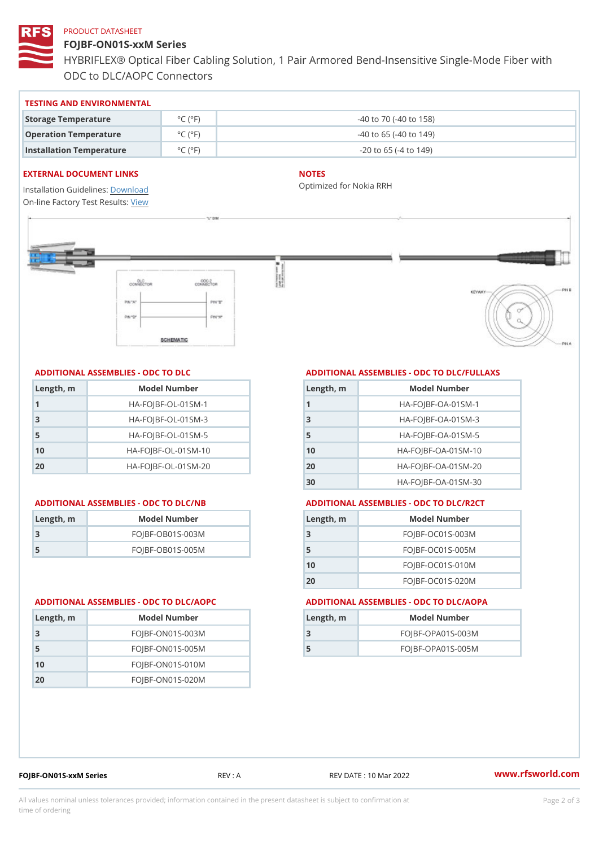#### PRODUCT DATASHEET

FOJBF-ON01S-xxM Series HYBRIFLEX® Optical Fiber Cabling Solution, 1 Pair Armored Bend-Inse ODC to DLC/AOPC Connectors

| TESTING AND ENVIRONMENTAL |  |  |  |  |
|---------------------------|--|--|--|--|
|---------------------------|--|--|--|--|

| Storage Temperature              | $^{\circ}$ C ( $^{\circ}$ F $\vert$ | $-40$ to $70$ ( $-40$ to $158$ ) |
|----------------------------------|-------------------------------------|----------------------------------|
| Operation Temperature            | $^{\circ}$ C ( $^{\circ}$ F $\vert$ | $-40$ to 65 ( $-40$ to 149)      |
| Installation Temperature °C (°F) |                                     | $-20$ to 65 ( $-4$ to 149)       |

#### EXTERNAL DOCUMENT LINKS

Installation Guidelwinessad On-line Factory Te[s](https://www.rfsworld.com/pictures/userfiles/programs/AAST Latest Version.zip)teResults:

#### NOTES

Optimized for Nokia RRH

## ADDITIONAL ASSEMBLIES - ODC TO DLC

| Length, m    | Model Number                   |
|--------------|--------------------------------|
| $\mathbf{1}$ | $HA - FOJBF - OL - 01SM - 1$   |
| -3           | $HA - FOJBF - OL - 01SM - 3$   |
| 5            | $HA - FOJBF - OL - 01SM - 5$   |
| 10           | $HA - FOJBF - O L - 01SM - 10$ |
| 20           | $HA-FOJBF-OL-01SM-20$          |

| Length, rn | Model Number       |
|------------|--------------------|
| -3         | $FOJBF-OBO1S-OO3M$ |
| -5         | $FOJBF-OBO1S-OO5M$ |

Length, m Model Number FOJBF-ON01S-003M FOJBF-ON01S-005M FOJBF-ON01S-010M FOJBF-ON01S-020M

# ADDITIONAL ASSEMBLIES - ODC TO DLC/FULLAXS

| Length, m      | Model Number                  |
|----------------|-------------------------------|
|                | $HA - FOJBF - OA - 01SM - 1$  |
| 3              | $HA - FOJBF - OA - 01SM - B$  |
| 5              | $HA - FOJBF - OA - 01SM - 5$  |
| 1 <sub>0</sub> | $HA - FOJBF - OA - 01SM - 10$ |
| 20             | $HA - FOJBF - OA - 01SM - 20$ |
| 30             | HA-FOJBF-OA-01SM-30           |

#### ADDITIONAL ASSEMBLIES - ODC TO DLC/NB ADDITIONAL ASSEMBLIES - ODC TO DLC/R2CT

| Length, m | Model Number       |
|-----------|--------------------|
| - 3       | FOJBF-OC01S-003M   |
| 5         | $FOJBF-OCO1S-005M$ |
| 10        | FOJBF-OC01S-010M   |
| 20        | FOJBF-OC01S-020M   |

#### ADDITIONAL ASSEMBLIES - ODC TO DLC/AOPC ADDITIONAL ASSEMBLIES - ODC TO DLC/AOPA

| Length, m | Model Number        |
|-----------|---------------------|
| 3         | $FOJBF-OPAO1S-003M$ |
| 5         | $FOJBF-OPAO1S-005M$ |

|  |  |  | FOJBF-ON01S-xxM Series |  |  |
|--|--|--|------------------------|--|--|

Series REV: A REV DATE: 10 Mar 2022 WWW.rfsworld.com

All values nominal unless tolerances provided; information contained in the present datasheet is subject to Pcapgelio an atio time of ordering